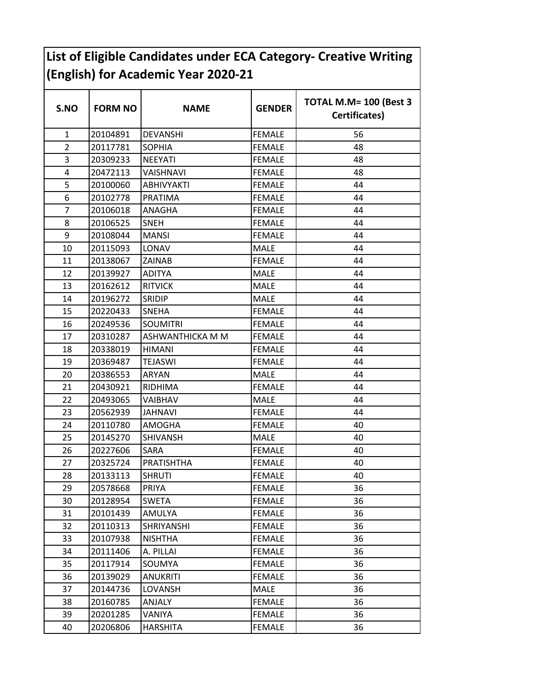## **List of Eligible Candidates under ECA Category- Creative Writing (English) for Academic Year 2020-21**

| S.NO           | <b>FORM NO</b> | <b>NAME</b>      | <b>GENDER</b> | TOTAL M.M= 100 (Best 3<br>Certificates) |
|----------------|----------------|------------------|---------------|-----------------------------------------|
| $\mathbf{1}$   | 20104891       | <b>DEVANSHI</b>  | <b>FEMALE</b> | 56                                      |
| $\overline{2}$ | 20117781       | <b>SOPHIA</b>    | <b>FEMALE</b> | 48                                      |
| 3              | 20309233       | <b>NEEYATI</b>   | <b>FEMALE</b> | 48                                      |
| 4              | 20472113       | VAISHNAVI        | <b>FEMALE</b> | 48                                      |
| 5              | 20100060       | ABHIVYAKTI       | <b>FEMALE</b> | 44                                      |
| 6              | 20102778       | <b>PRATIMA</b>   | <b>FEMALE</b> | 44                                      |
| $\overline{7}$ | 20106018       | ANAGHA           | <b>FEMALE</b> | 44                                      |
| 8              | 20106525       | <b>SNEH</b>      | <b>FEMALE</b> | 44                                      |
| 9              | 20108044       | <b>MANSI</b>     | <b>FEMALE</b> | 44                                      |
| 10             | 20115093       | LONAV            | <b>MALE</b>   | 44                                      |
| 11             | 20138067       | <b>ZAINAB</b>    | <b>FEMALE</b> | 44                                      |
| 12             | 20139927       | <b>ADITYA</b>    | MALE          | 44                                      |
| 13             | 20162612       | <b>RITVICK</b>   | <b>MALE</b>   | 44                                      |
| 14             | 20196272       | <b>SRIDIP</b>    | <b>MALE</b>   | 44                                      |
| 15             | 20220433       | <b>SNEHA</b>     | <b>FEMALE</b> | 44                                      |
| 16             | 20249536       | <b>SOUMITRI</b>  | <b>FEMALE</b> | 44                                      |
| 17             | 20310287       | ASHWANTHICKA M M | <b>FEMALE</b> | 44                                      |
| 18             | 20338019       | <b>HIMANI</b>    | <b>FEMALE</b> | 44                                      |
| 19             | 20369487       | TEJASWI          | <b>FEMALE</b> | 44                                      |
| 20             | 20386553       | <b>ARYAN</b>     | <b>MALE</b>   | 44                                      |
| 21             | 20430921       | RIDHIMA          | <b>FEMALE</b> | 44                                      |
| 22             | 20493065       | VAIBHAV          | <b>MALE</b>   | 44                                      |
| 23             | 20562939       | JAHNAVI          | <b>FEMALE</b> | 44                                      |
| 24             | 20110780       | <b>AMOGHA</b>    | <b>FEMALE</b> | 40                                      |
| 25             | 20145270       | <b>SHIVANSH</b>  | <b>MALE</b>   | 40                                      |
| 26             | 20227606       | SARA             | <b>FEMALE</b> | 40                                      |
| 27             | 20325724       | PRATISHTHA       | <b>FEMALE</b> | 40                                      |
| 28             | 20133113       | <b>SHRUTI</b>    | <b>FEMALE</b> | 40                                      |
| 29             | 20578668       | PRIYA            | <b>FEMALE</b> | 36                                      |
| 30             | 20128954       | <b>SWETA</b>     | <b>FEMALE</b> | 36                                      |
| 31             | 20101439       | AMULYA           | <b>FEMALE</b> | 36                                      |
| 32             | 20110313       | SHRIYANSHI       | <b>FEMALE</b> | 36                                      |
| 33             | 20107938       | <b>NISHTHA</b>   | <b>FEMALE</b> | 36                                      |
| 34             | 20111406       | A. PILLAI        | <b>FEMALE</b> | 36                                      |
| 35             | 20117914       | SOUMYA           | <b>FEMALE</b> | 36                                      |
| 36             | 20139029       | <b>ANUKRITI</b>  | <b>FEMALE</b> | 36                                      |
| 37             | 20144736       | LOVANSH          | <b>MALE</b>   | 36                                      |
| 38             | 20160785       | ANJALY           | <b>FEMALE</b> | 36                                      |
| 39             | 20201285       | VANIYA           | <b>FEMALE</b> | 36                                      |
| 40             | 20206806       | HARSHITA         | <b>FEMALE</b> | 36                                      |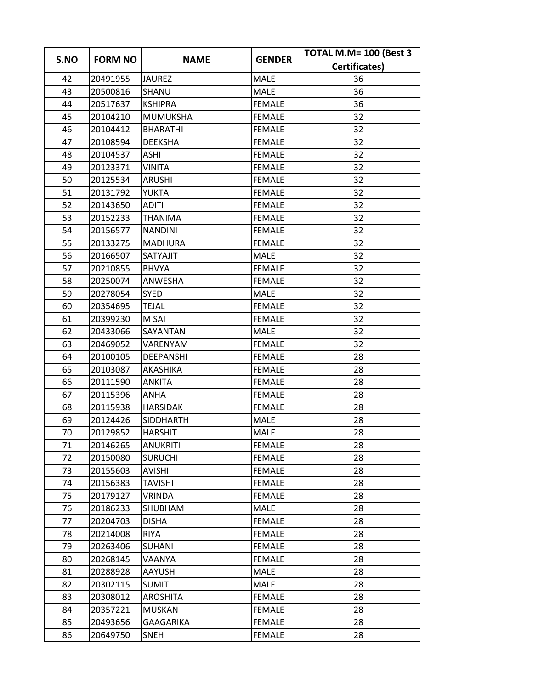| S.NO | <b>FORM NO</b> | <b>NAME</b>      | <b>GENDER</b> | TOTAL M.M= 100 (Best 3 |
|------|----------------|------------------|---------------|------------------------|
|      |                |                  |               | Certificates)          |
| 42   | 20491955       | <b>JAUREZ</b>    | <b>MALE</b>   | 36                     |
| 43   | 20500816       | <b>SHANU</b>     | <b>MALE</b>   | 36                     |
| 44   | 20517637       | <b>KSHIPRA</b>   | <b>FEMALE</b> | 36                     |
| 45   | 20104210       | <b>MUMUKSHA</b>  | <b>FEMALE</b> | 32                     |
| 46   | 20104412       | <b>BHARATHI</b>  | <b>FEMALE</b> | 32                     |
| 47   | 20108594       | <b>DEEKSHA</b>   | <b>FEMALE</b> | 32                     |
| 48   | 20104537       | <b>ASHI</b>      | <b>FEMALE</b> | 32                     |
| 49   | 20123371       | <b>VINITA</b>    | <b>FEMALE</b> | 32                     |
| 50   | 20125534       | <b>ARUSHI</b>    | <b>FEMALE</b> | 32                     |
| 51   | 20131792       | <b>YUKTA</b>     | <b>FEMALE</b> | 32                     |
| 52   | 20143650       | <b>ADITI</b>     | <b>FEMALE</b> | 32                     |
| 53   | 20152233       | <b>THANIMA</b>   | <b>FEMALE</b> | 32                     |
| 54   | 20156577       | <b>NANDINI</b>   | <b>FEMALE</b> | 32                     |
| 55   | 20133275       | <b>MADHURA</b>   | <b>FEMALE</b> | 32                     |
| 56   | 20166507       | SATYAJIT         | MALE          | 32                     |
| 57   | 20210855       | <b>BHVYA</b>     | <b>FEMALE</b> | 32                     |
| 58   | 20250074       | ANWESHA          | <b>FEMALE</b> | 32                     |
| 59   | 20278054       | <b>SYED</b>      | MALE          | 32                     |
| 60   | 20354695       | <b>TEJAL</b>     | <b>FEMALE</b> | 32                     |
| 61   | 20399230       | M SAI            | <b>FEMALE</b> | 32                     |
| 62   | 20433066       | SAYANTAN         | <b>MALE</b>   | 32                     |
| 63   | 20469052       | VARENYAM         | <b>FEMALE</b> | 32                     |
| 64   | 20100105       | <b>DEEPANSHI</b> | <b>FEMALE</b> | 28                     |
| 65   | 20103087       | AKASHIKA         | <b>FEMALE</b> | 28                     |
| 66   | 20111590       | <b>ANKITA</b>    | <b>FEMALE</b> | 28                     |
| 67   | 20115396       | ANHA             | <b>FEMALE</b> | 28                     |
| 68   | 20115938       | <b>HARSIDAK</b>  | <b>FEMALE</b> | 28                     |
| 69   | 20124426       | <b>SIDDHARTH</b> | MALE          | 28                     |
| 70   | 20129852       | <b>HARSHIT</b>   | <b>MALE</b>   | 28                     |
| 71   | 20146265       | <b>ANUKRITI</b>  | <b>FEMALE</b> | 28                     |
| 72   | 20150080       | <b>SURUCHI</b>   | <b>FEMALE</b> | 28                     |
| 73   | 20155603       | <b>AVISHI</b>    | <b>FEMALE</b> | 28                     |
| 74   | 20156383       | <b>TAVISHI</b>   | <b>FEMALE</b> | 28                     |
| 75   | 20179127       | <b>VRINDA</b>    | <b>FEMALE</b> | 28                     |
| 76   | 20186233       | SHUBHAM          | <b>MALE</b>   | 28                     |
| 77   | 20204703       | <b>DISHA</b>     | <b>FEMALE</b> | 28                     |
| 78   | 20214008       | <b>RIYA</b>      | <b>FEMALE</b> | 28                     |
| 79   | 20263406       | SUHANI           | <b>FEMALE</b> | 28                     |
| 80   | 20268145       | VAANYA           | <b>FEMALE</b> | 28                     |
| 81   | 20288928       | AAYUSH           | MALE          | 28                     |
| 82   | 20302115       | <b>SUMIT</b>     | MALE          | 28                     |
| 83   | 20308012       | <b>AROSHITA</b>  | <b>FEMALE</b> | 28                     |
| 84   | 20357221       | <b>MUSKAN</b>    | <b>FEMALE</b> | 28                     |
| 85   | 20493656       | GAAGARIKA        | <b>FEMALE</b> | 28                     |
| 86   | 20649750       | <b>SNEH</b>      | <b>FEMALE</b> | 28                     |